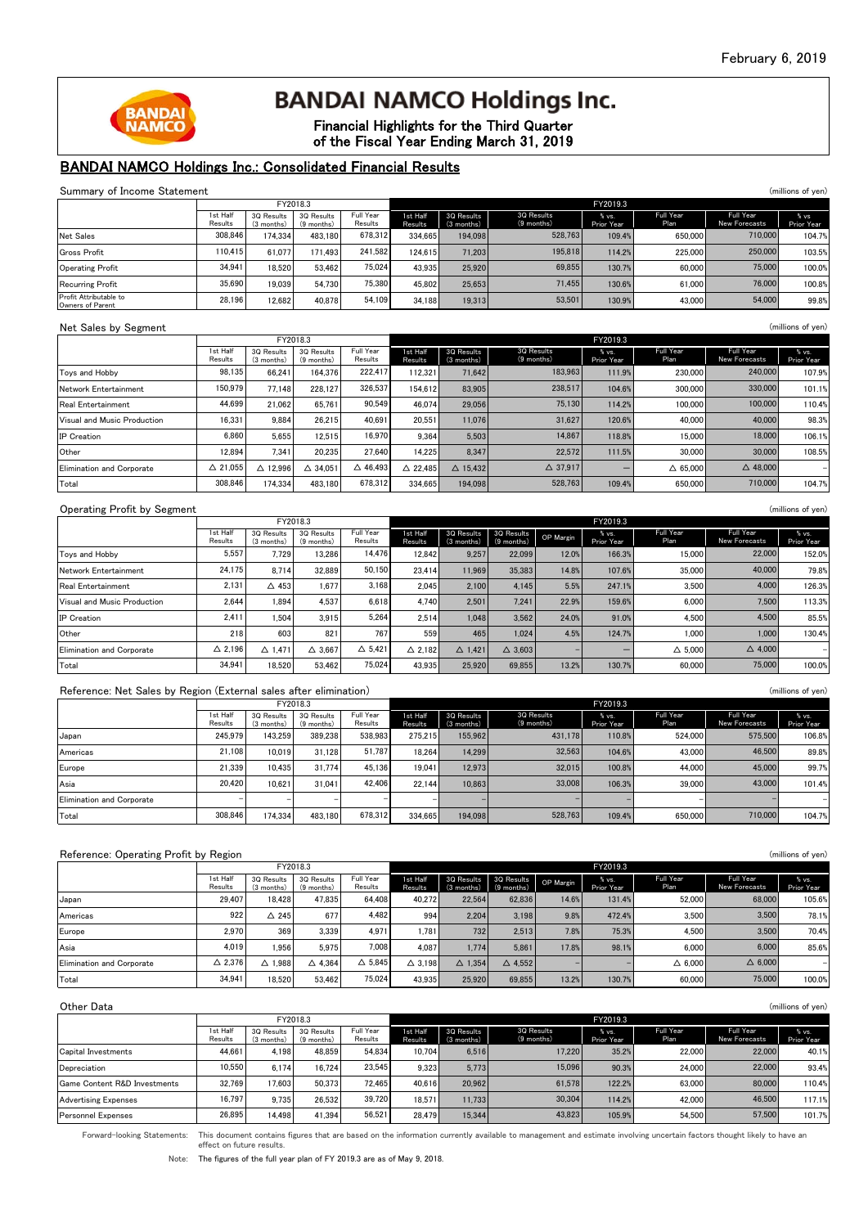Full Year

Full Year



# **BANDAI NAMCO Holdings Inc.**

Financial Highlights for the Third Quarter of the Fiscal Year Ending March 31, 2019

## BANDAI NAMCO Holdings Inc.: Consolidated Financial Results

#### Summary of Income Statement (millions of yen)<br>
Figure 1983<br>
Summary of Income Statement (millions of yen) FY2018.3<br>1st Half 3Q Results | 3Q Results | Full Year | 1st Half | 3Q Results | 3Q Results | % vs.  $\mathsf{H}$ 1st Half 3Q Results Results (3 months) (9 months) Results Results

|                                            | 1st Half<br>Results | 3Q Results<br>(3 months) | 3Q Results<br>$(9$ months) | Full Year<br>Results | 1st Half<br>Results | 3Q Results<br>$(3$ months) | <b>3Q Results</b><br>(9 months) | % vs.<br>Prior Year | Full Year<br>Plan | Full Year<br>New Forecasts | % vs<br>Prior Year |
|--------------------------------------------|---------------------|--------------------------|----------------------------|----------------------|---------------------|----------------------------|---------------------------------|---------------------|-------------------|----------------------------|--------------------|
| Net Sales                                  | 308.846             | 174.334                  | 483.180                    | 678.312              | 334.6651            | 194.098                    | 528,763                         | 109.4%              | 650,000           | 710,000                    | 104.7%             |
| Gross Profit                               | 110.415             | 61.077                   | 171.493                    | 241.582              | 124.615             | 71.203                     | 195,818                         | 114.2%              | 225,000           | 250,000                    | 103.5%             |
| Operating Profit                           | 34.941              | 18.520                   | 53.462                     | 75.024               | 43.935              | 25.920                     | 69.855                          | 130.7%              | 60,000            | 75,000                     | 100.0%             |
| Recurring Profit                           | 35,690              | 19.039                   | 54.730                     | 75.380               | 45.802              | 25.653                     | 71.455                          | 130.6%              | 61,000            | 76,000                     | 100.8%             |
| Profit Attributable to<br>Owners of Parent | 28.196              | 12.682                   | 40.878                     | 54.109               | 34.188              | 19.313                     | 53,501                          | 130.9%              | 43,000            | 54,000                     | 99.8%              |

30 Results

#### Net Sales by Segment (millions of yen)

|                             |                            |                          | FY2018.3                   |                      |                    | FY2019.3                   |                          |                     |                    |                            |                     |  |
|-----------------------------|----------------------------|--------------------------|----------------------------|----------------------|--------------------|----------------------------|--------------------------|---------------------|--------------------|----------------------------|---------------------|--|
|                             | <b>Ist Half</b><br>Results | 3Q Results<br>(3 months) | 3Q Results<br>$(9$ months) | Full Year<br>Results | st Half<br>Results | 3Q Results<br>$(3$ months) | 3Q Results<br>(9 months) | % vs.<br>Prior Year | Full Year<br>Plan  | Full Year<br>New Forecasts | % vs.<br>Prior Year |  |
| Toys and Hobby              | 98,135                     | 66.241                   | 164.376                    | 222.417              | 112.321            | 71.642                     | 183,963                  | 111.9%              | 230,000            | 240,000                    | 107.9%              |  |
| Network Entertainment       | 150,979                    | 77.148                   | 228.127                    | 326.537              | 154.612            | 83.905                     | 238.517                  | 104.6%              | 300,000            | 330,000                    | 101.1%              |  |
| <b>Real Entertainment</b>   | 44.699                     | 21.062                   | 65.761                     | 90.549               | 46.074             | 29,056                     | 75.130                   | 114.2%              | 100,000            | 100,000                    | 110.4%              |  |
| Visual and Music Production | 16.331                     | 9.884                    | 26.215                     | 40.691               | 20.551             | 11.076                     | 31.627                   | 120.6%              | 40,000             | 40,000                     | 98.3%               |  |
| <b>IP</b> Creation          | 6.860                      | 5.655                    | 12.515                     | 16.970               | 9.364              | 5.503                      | 14.867                   | 118.8%              | 15,000             | 18,000                     | 106.1%              |  |
| Other                       | 12.894                     | 7.341                    | 20.235                     | 27.640               | 14.225             | 8.347                      | 22.572                   | 111.5%              | 30,000             | 30,000                     | 108.5%              |  |
| Elimination and Corporate   | $\triangle$ 21.055         | 12.996                   | $\triangle$ 34.051         | $\triangle$ 46.493   | $\triangle$ 22.485 | $\triangle$ 15.432         | $\Delta$ 37,917          |                     | $\triangle$ 65,000 | $\triangle$ 48,000         |                     |  |
| Total                       | 308.846                    | 174.334                  | 483.180                    | 678.312              | 334.665            | 194.098                    | 528.763                  | 109.4%              | 650,000            | 710,000                    | 104.7%              |  |

#### Operating Profit by Segment (millions of yen)

|                             |                     | FY2018.3                 |                            |                      |                     | FY2019.3                 |                          |           |                     |                   |                            |                     |
|-----------------------------|---------------------|--------------------------|----------------------------|----------------------|---------------------|--------------------------|--------------------------|-----------|---------------------|-------------------|----------------------------|---------------------|
|                             | 1st Half<br>Results | 3Q Results<br>(3 months) | 3Q Results<br>$(9$ months) | Full Year<br>Results | 1st Half<br>Results | 3Q Results<br>(3 months) | 3Q Results<br>(9 months) | OP Margin | % vs.<br>Prior Year | Full Year<br>Plan | Full Year<br>New Forecasts | % vs.<br>Prior Year |
| Tovs and Hobby              | 5.557               | 7.729                    | 13.286                     | 14.476               | 12.842              | 9.257                    | 22.099                   | 12.0%     | 166.3%              | 15,000            | 22,000                     | 152.0%              |
| Network Entertainment       | 24.175              | 8.714                    | 32,889                     | 50.150               | 23.414              | 11.969                   | 35,383                   | 14.8%     | 107.6%              | 35,000            | 40,000                     | 79.8%               |
| <b>Real Entertainment</b>   | 2.131               | $\triangle$ 453          | .677                       | 3.168                | 2.045               | 2.100                    | 4.145                    | 5.5%      | 247.1%              | 3.500             | 4.000                      | 126.3%              |
| Visual and Music Production | 2.644               | 1.894                    | 4.537                      | 6.618                | 4.740               | 2.501                    | 7.241                    | 22.9%     | 159.6%              | 6,000             | 7.500                      | 113.3%              |
| <b>IP</b> Creation          | 2.411               | 1.504                    | 3.915                      | 5.264                | 2.514               | 1.048                    | 3.562                    | 24.0%     | 91.0%               | 4.500             | 4.500                      | 85.5%               |
| Other                       | 218                 | 603                      | 821                        | 767                  | 559                 | 465                      | 1.024                    | 4.5%      | 124.7%              | 1.000             | 1,000                      | 130.4%              |
| Elimination and Corporate   | $\triangle$ 2.196   | $\triangle$ 1.471        | $\triangle$ 3.667          | $\triangle$ 5.421    | $\triangle$ 2.182   | $\triangle$ 1.421        | $\triangle$ 3.603        |           |                     | $\triangle$ 5.000 | $\triangle$ 4.000          |                     |
| Total                       | 34.941              | 18.520                   | 53.462                     | 75.024               | 43.935              | 25.920                   | 69.855                   | 13.2%     | 130.7%              | 60,000            | 75,000                     | 100.0%              |

#### Reference: Net Sales by Region (External sales after elimination) (millions of yen) (millions of yen)

|                           |                     | FY2018.3                 |                            |                      |                          | FY2019.3                 |                          |                     |                   |                            |                     |  |
|---------------------------|---------------------|--------------------------|----------------------------|----------------------|--------------------------|--------------------------|--------------------------|---------------------|-------------------|----------------------------|---------------------|--|
|                           | 1st Half<br>Results | 30 Results<br>(3 months) | 3Q Results<br>$(9$ months) | Full Year<br>Results | 1st Half<br>Results      | 3Q Results<br>(3 months) | 3Q Results<br>(9 months) | % vs.<br>Prior Year | Full Year<br>Plan | Full Year<br>New Forecasts | % vs.<br>Prior Year |  |
| Japan                     | 245.979             | 143.259                  | 389.238                    | 538,983              | 275.215                  | 155.962                  | 431,178                  | 110.8%              | 524,000           | 575,500                    | 106.8%              |  |
| Americas                  | 21.108              | 10.019                   | 31.128                     | 51.787               | 18.264                   | 14.299                   | 32.563                   | 104.6%              | 43,000            | 46,500                     | 89.8%               |  |
| Europe                    | 21.339              | 10.435                   | 31.774                     | 45.136               | 19.041                   | 12.973                   | 32,015                   | 100.8%              | 44,000            | 45,000                     | 99.7%               |  |
| Asia                      | 20.420              | 10.621                   | 31.041                     | 42.406               | 22.144                   | 10.863                   | 33,008                   | 106.3%              | 39,000            | 43,000                     | 101.4%              |  |
| Elimination and Corporate |                     |                          |                            |                      | $\overline{\phantom{a}}$ |                          |                          |                     |                   |                            |                     |  |
| Total                     | 308.846             | 174.334                  | 483.180                    | 678.312              | 334.665                  | 194.098                  | 528,763                  | 109.4%              | 650,000           | 710,000                    | 104.7%              |  |

| Reference: Operating Profit by Region |                     |                          |                          |                      |                     |                          |                          |           |                     |                   |                            | (millions of yen)   |
|---------------------------------------|---------------------|--------------------------|--------------------------|----------------------|---------------------|--------------------------|--------------------------|-----------|---------------------|-------------------|----------------------------|---------------------|
|                                       |                     |                          | FY2018.3                 |                      |                     | FY2019.3                 |                          |           |                     |                   |                            |                     |
|                                       | 1st Half<br>Results | 3Q Results<br>(3 months) | 3Q Results<br>(9 months) | Full Year<br>Results | 1st Half<br>Results | 3Q Results<br>(3 months) | 3Q Results<br>(9 months) | OP Margin | % vs.<br>Prior Year | Full Year<br>Plan | Full Year<br>New Forecasts | % vs.<br>Prior Year |
| Japan                                 | 29.407              | 18.428                   | 47.835                   | 64.408               | 40.272              | 22.564                   | 62.836                   | 14.6%     | 131.4%              | 52,000            | 68,000                     | 105.6%              |
| Americas                              | 922                 | $\triangle$ 245          | 677                      | 4.482                | 994                 | 2.204                    | 3.198                    | 9.8%      | 472.4%              | 3.500             | 3.500                      | 78.1%               |
| Europe                                | 2.970               | 369                      | 3.339                    | 4.971                | 1.781               | 732                      | 2.513                    | 7.8%      | 75.3%               | 4.500             | 3.500                      | 70.4%               |
| Asia                                  | 4.019               | 1.956                    | 5.975                    | 7.008                | 4.087               | 1.774                    | 5.861                    | 17.8%     | 98.1%               | 6,000             | 6,000                      | 85.6%               |
| Elimination and Corporate             | $\triangle$ 2.376   | $\triangle$ 1.988        | $\triangle$ 4.364        | $\triangle$ 5.845    | $\triangle$ 3.198   | $\triangle$ 1.354        | $\triangle$ 4.552        |           |                     | $\triangle$ 6.000 | $\triangle$ 6.000          |                     |
| Total                                 | 34.941              | 18.520                   | 53.462                   | 75.024               | 43.935              | 25.920                   | 69.855                   | 13.2%     | 130.7%              | 60,000            | 75,000                     | 100.0%              |

| Other Data                   |                     |                          |                          |                      |                     |                            |                            |                     |                   |                            | (millions of yen)   |  |
|------------------------------|---------------------|--------------------------|--------------------------|----------------------|---------------------|----------------------------|----------------------------|---------------------|-------------------|----------------------------|---------------------|--|
|                              |                     |                          | FY2018.3                 |                      |                     | FY2019.3                   |                            |                     |                   |                            |                     |  |
|                              | 1st Half<br>Results | 3Q Results<br>(3 months) | 3Q Results<br>(9 months) | Full Year<br>Results | 1st Half<br>Results | 3Q Results<br>$(3$ months) | 3Q Results<br>$(9$ months) | % vs.<br>Prior Year | Full Year<br>Plan | Full Year<br>New Forecasts | % vs.<br>Prior Year |  |
| Capital Investments          | 44.661              | 4.198                    | 48.859                   | 54.834               | 10.704              | 6.516                      | 17.220                     | 35.2%               | 22,000            | 22,000                     | 40.1%               |  |
| Depreciation                 | 10.550              | 6.174                    | 16.724                   | 23.545               | 9.323               | 5.773                      | 15,096                     | 90.3%               | 24,000            | 22,000                     | 93.4%               |  |
| Game Content R&D Investments | 32.769              | 17.603                   | 50.373                   | 72.465               | 40.616              | 20.962                     | 61.578                     | 122.2%              | 63,000            | 80,000                     | 110.4%              |  |
| <b>Advertising Expenses</b>  | 16.797              | 9.735                    | 26.532                   | 39.720               | 18.571              | 11.733                     | 30,304                     | 114.2%              | 42,000            | 46,500                     | 117.1%              |  |
| <b>Personnel Expenses</b>    | 26.895              | 14.498                   | 41.394                   | 56.521               | 28.479              | 15.344                     | 43.823                     | 105.9%              | 54.500            | 57,500                     | 101.7%              |  |

Forward-looking Statements: This document contains figures that are based on the information currently available to management and estimate involving uncertain factors thought likely to have an effect on future results.

Note: The figures of the full year plan of FY 2019.3 are as of May 9, 2018.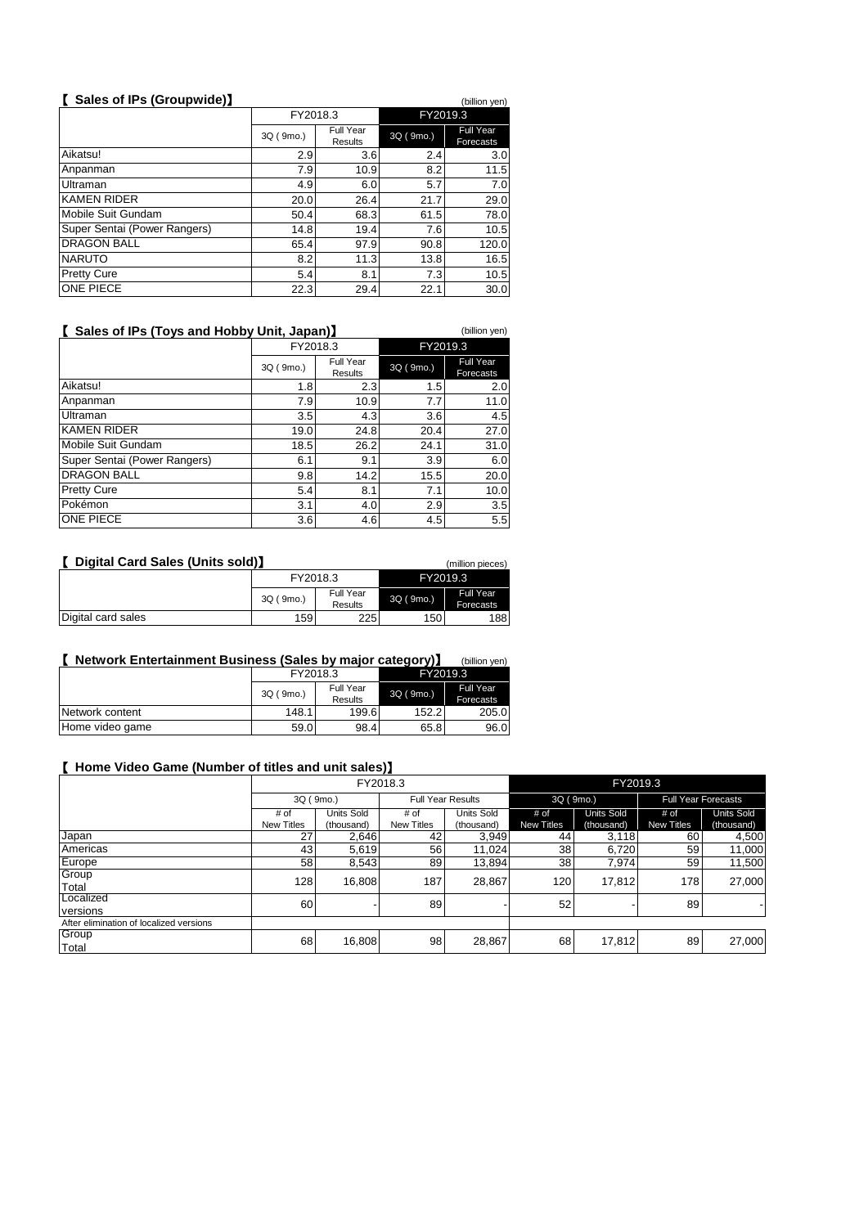# 【 **Sales of IPs (Groupwide)**】 (billion yen)

|                              | FY2018.3  |                      | FY2019.3  |                               |  |
|------------------------------|-----------|----------------------|-----------|-------------------------------|--|
|                              | 3Q (9mo.) | Full Year<br>Results | 3Q (9mo.) | <b>Full Year</b><br>Forecasts |  |
| Aikatsu!                     | 2.9       | 3.6                  | 2.4       | 3.0                           |  |
| Anpanman                     | 7.9       | 10.9                 | 8.2       | 11.5                          |  |
| Ultraman                     | 4.9       | 6.0                  | 5.7       | 7.0                           |  |
| <b>KAMEN RIDER</b>           | 20.0      | 26.4                 | 21.7      | 29.0                          |  |
| Mobile Suit Gundam           | 50.4      | 68.3                 | 61.5      | 78.0                          |  |
| Super Sentai (Power Rangers) | 14.8      | 19.4                 | 7.6       | 10.5                          |  |
| <b>DRAGON BALL</b>           | 65.4      | 97.9                 | 90.8      | 120.0                         |  |
| <b>NARUTO</b>                | 8.2       | 11.3                 | 13.8      | 16.5                          |  |
| <b>Pretty Cure</b>           | 5.4       | 8.1                  | 7.3       | 10.5                          |  |
| ONE PIECE                    | 22.3      | 29.4                 | 22.1      | 30.0                          |  |

# 【 **Sales of IPs (Toys and Hobby Unit, Japan)**】 (billion yen)

|                              | FY2018.3  |                      | FY2019.3  |                        |  |
|------------------------------|-----------|----------------------|-----------|------------------------|--|
|                              | 3Q (9mo.) | Full Year<br>Results | 3Q (9mo.) | Full Year<br>Forecasts |  |
| Aikatsu!                     | 1.8       | 2.3                  | 1.5       | 2.0                    |  |
| Anpanman                     | 7.9       | 10.9                 | 7.7       | 11.0                   |  |
| Ultraman                     | 3.5       | 4.3                  | 3.6       | 4.5                    |  |
| <b>KAMEN RIDER</b>           | 19.0      | 24.8                 | 20.4      | 27.0                   |  |
| Mobile Suit Gundam           | 18.5      | 26.2                 | 24.1      | 31.0                   |  |
| Super Sentai (Power Rangers) | 6.1       | 9.1                  | 3.9       | 6.0                    |  |
| <b>DRAGON BALL</b>           | 9.8       | 14.2                 | 15.5      | 20.0                   |  |
| <b>Pretty Cure</b>           | 5.4       | 8.1                  | 7.1       | 10.0                   |  |
| Pokémon                      | 3.1       | 4.0                  | 2.9       | 3.5                    |  |
| ONE PIECE                    | 3.6       | 4.6                  | 4.5       | 5.5                    |  |

| Digital Card Sales (Units sold)<br>(million pieces) |           |                      |           |                               |  |  |  |  |
|-----------------------------------------------------|-----------|----------------------|-----------|-------------------------------|--|--|--|--|
|                                                     | FY2018.3  |                      | FY2019.3  |                               |  |  |  |  |
|                                                     | 3Q (9mo.) | Full Year<br>Results | 3Q (9mo.) | <b>Full Year</b><br>Forecasts |  |  |  |  |
| Digital card sales                                  | 159       | 225                  | 150       | 188                           |  |  |  |  |

#### 【 **Network Entertainment Business (Sales by major category)**】 (billion yen)

|                 |           |           | ---       |           |
|-----------------|-----------|-----------|-----------|-----------|
|                 | FY2018.3  |           | FY2019.3  |           |
|                 | 3Q (9mo.) | Full Year | 3Q (9mo.) | Full Year |
|                 |           | Results   |           | Forecasts |
| Network content | 148.1     | 199.6     | 152.2     | 205.0     |
| Home video game | 59.0      | 98.4      | 65.8      | 96.0      |

#### 【 **Home Video Game (Number of titles and unit sales)**】

|                                         |                   |                   | FY2018.3          |                          | FY2019.3   |                   |                   |                            |  |
|-----------------------------------------|-------------------|-------------------|-------------------|--------------------------|------------|-------------------|-------------------|----------------------------|--|
|                                         |                   | 3Q (9mo.)         |                   | <b>Full Year Results</b> |            | 3Q (9mo.)         |                   | <b>Full Year Forecasts</b> |  |
|                                         | # of              | <b>Units Sold</b> | # of              | Units Sold               | # of       | <b>Units Sold</b> | # of              | <b>Units Sold</b>          |  |
|                                         | <b>New Titles</b> | (thousand)        | <b>New Titles</b> | (thousand)               | New Titles | (thousand)        | <b>New Titles</b> | (thousand)                 |  |
| Japan                                   | 27                | 2,646             | 42                | 3,949                    | 44         | 3,118             | 60                | 4,500                      |  |
| Americas                                | 43                | 5,619             | 56                | 11,024                   | 38         | 6.720             | 59                | 11,000                     |  |
| Europe                                  | 58                | 8,543             | 89                | 13,894                   | 38         | 7,974             | 59                | 11,500                     |  |
| Group                                   | 128               | 16,808            | 187               | 28,867                   | 120        | 17.812            | 178               | 27,000                     |  |
| Total                                   |                   |                   |                   |                          |            |                   |                   |                            |  |
| Localized                               | 60                |                   | 89                |                          | 52         |                   | 89                |                            |  |
| versions                                |                   |                   |                   |                          |            |                   |                   |                            |  |
| After elimination of localized versions |                   |                   |                   |                          |            |                   |                   |                            |  |
| Group                                   | 68                | 16,808            | 98                | 28,867                   | 68         | 17,812            | 89                | 27,000                     |  |
| Total                                   |                   |                   |                   |                          |            |                   |                   |                            |  |